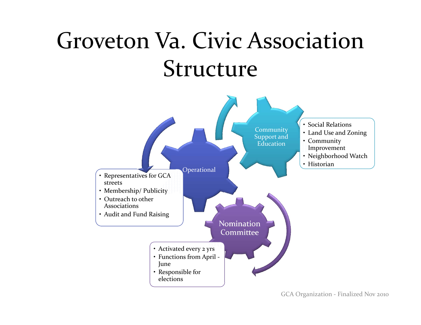# Groveton Va. Civic Association Structure

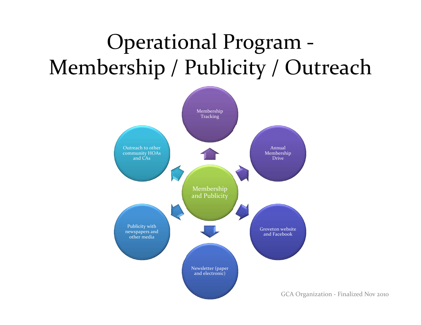### Operational Program ‐ Membership / Publicity / Outreach

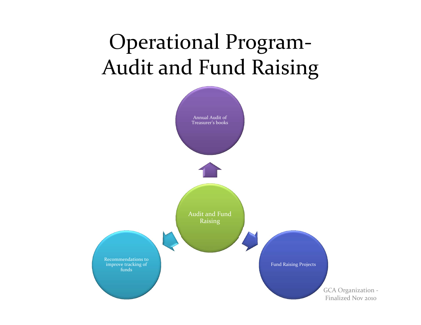### Operational Program‐ Audit and Fund Raising

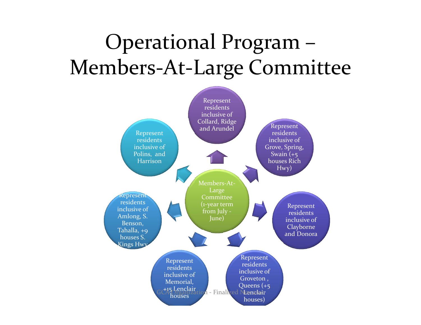#### Operational Program – Members‐At‐Large Committee

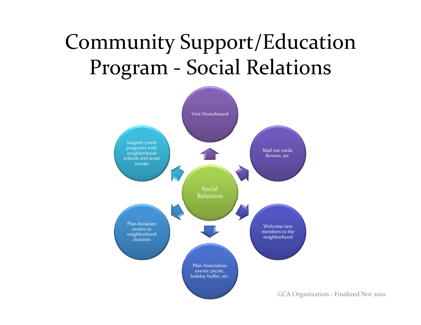### Community Support/Education Program ‐ Social Relations

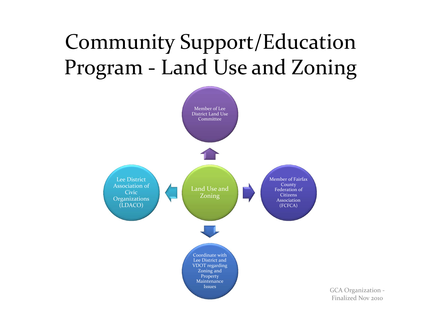## Community Support/Education Program ‐ Land Use and Zoning



GCA Organization ‐ Finalized Nov <sup>2010</sup>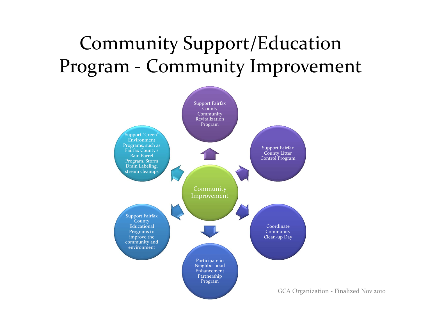#### Community Support/Education Program ‐ Community Improvement

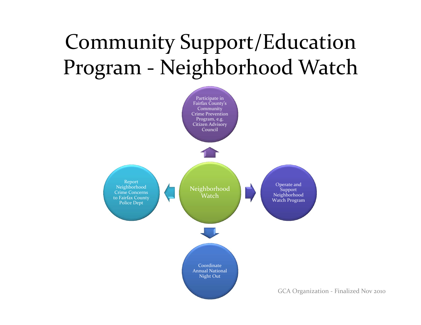### Community Support/Education Program ‐ Neighborhood Watch